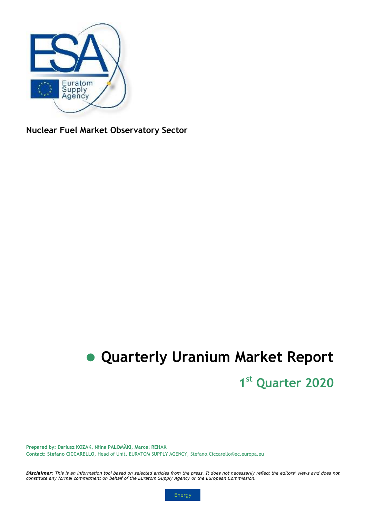

**Nuclear Fuel Market Observatory Sector** 

# **Quarterly Uranium Market Report**

# **1 st Quarter 2020**

**Prepared by: Dariusz KOZAK, Niina PALOMÄKI, Marcel REHAK Contact: Stefano CICCARELLO**, Head of Unit, EURATOM SUPPLY AGENCY, Stefano.Ciccarello@ec.europa.eu

*Disclaimer: This is an information tool based on selected articles from the press. It does not necessarily reflect the editors' views and does not constitute any formal commitment on behalf of the Euratom Supply Agency or the European Commission.* 

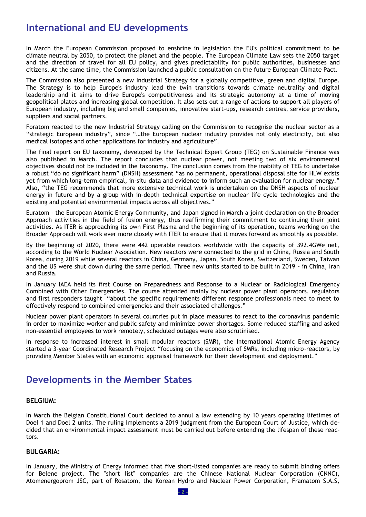### **International and EU developments**

In March the European Commission proposed to enshrine in legislation the EU's political commitment to be climate neutral by 2050, to protect the planet and the people. The European Climate Law sets the 2050 target and the direction of travel for all EU policy, and gives predictability for public authorities, businesses and citizens. At the same time, the Commission launched a public consultation on the future European Climate Pact.

The Commission also presented a new Industrial Strategy for a globally competitive, green and digital Europe. The Strategy is to help Europe's industry lead the twin transitions towards climate neutrality and digital leadership and it aims to drive Europe's competitiveness and its strategic autonomy at a time of moving geopolitical plates and increasing global competition. It also sets out a range of actions to support all players of European industry, including big and small companies, innovative start-ups, research centres, service providers, suppliers and social partners.

Foratom reacted to the new Industrial Strategy calling on the Commission to recognise the nuclear sector as a "strategic European industry", since "…the European nuclear industry provides not only electricity, but also medical isotopes and other applications for industry and agriculture".

The final report on EU taxonomy, developed by the Technical Expert Group (TEG) on Sustainable Finance was also published in March. The report concludes that nuclear power, not meeting two of six environmental objectives should not be included in the taxonomy. The conclusion comes from the inability of TEG to undertake a robust "do no significant harm" (DNSH) assessment "as no permanent, operational disposal site for HLW exists yet from which long-term empirical, in-situ data and evidence to inform such an evaluation for nuclear energy." Also, "the TEG recommends that more extensive technical work is undertaken on the DNSH aspects of nuclear energy in future and by a group with in-depth technical expertise on nuclear life cycle technologies and the existing and potential environmental impacts across all objectives."

Euratom - the European Atomic Energy Community, and Japan signed in March a joint declaration on the Broader Approach activities in the field of fusion energy, thus reaffirming their commitment to continuing their joint activities. As ITER is approaching its own First Plasma and the beginning of its operation, teams working on the Broader Approach will work ever more closely with ITER to ensure that it moves forward as smoothly as possible.

By the beginning of 2020, there were 442 operable reactors worldwide with the capacity of 392.4GWe net, according to the World Nuclear Association. New reactors were connected to the grid in China, Russia and South Korea, during 2019 while several reactors in China, Germany, Japan, South Korea, Switzerland, Sweden, Taiwan and the US were shut down during the same period. Three new units started to be built in 2019 - in China, Iran and Russia.

In January IAEA held its first Course on Preparedness and Response to a Nuclear or Radiological Emergency Combined with Other Emergencies. The course attended mainly by nuclear power plant operators, regulators and first responders taught "about the specific requirements different response professionals need to meet to effectively respond to combined emergencies and their associated challenges."

Nuclear power plant operators in several countries put in place measures to react to the coronavirus pandemic in order to maximize worker and public safety and minimize power shortages. Some reduced staffing and asked non-essential employees to work remotely, scheduled outages were also scrutinised.

In response to increased interest in small modular reactors (SMR), the International Atomic Energy Agency started a 3-year Coordinated Research Project "focusing on the economics of SMRs, including micro-reactors, by providing Member States with an economic appraisal framework for their development and deployment."

### **Developments in the Member States**

### **BELGIUM:**

In March the Belgian Constitutional Court decided to annul a law extending by 10 years operating lifetimes of Doel 1 and Doel 2 units. The ruling implements a 2019 judgment from the European Court of Justice, which decided that an environmental impact assessment must be carried out before extending the lifespan of these reactors.

### **BULGARIA:**

In January, the Ministry of Energy informed that five short-listed companies are ready to submit binding offers for Belene project. The "short list" companies are the Chinese National Nuclear Corporation (CNNC), Atomenergoprom JSC, part of Rosatom, the Korean Hydro and Nuclear Power Corporation, Framatom S.A.S,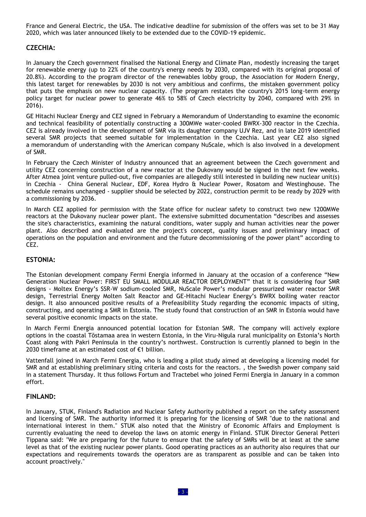France and General Electric, the USA. The indicative deadline for submission of the offers was set to be 31 May 2020, which was later announced likely to be extended due to the COVID-19 epidemic.

### **CZECHIA:**

In January the Czech government finalised the National Energy and Climate Plan, modestly increasing the target for renewable energy (up to 22% of the country's energy needs by 2030, compared with its original proposal of 20.8%). According to the program director of the renewables lobby group, the Association for Modern Energy, this latest target for renewables by 2030 is not very ambitious and confirms, the mistaken government policy that puts the emphasis on new nuclear capacity. (The program restates the country's 2015 long-term energy policy target for nuclear power to generate 46% to 58% of Czech electricity by 2040, compared with 29% in 2016).

GE Hitachi Nuclear Energy and CEZ signed in February a Memorandum of Understanding to examine the economic and technical feasibility of potentially constructing a 300MWe water-cooled BWRX-300 reactor in the Czechia. CEZ is already involved in the development of SMR via its daughter company UJV Rez, and in late 2019 identified several SMR projects that seemed suitable for implementation in the Czechia. Last year CEZ also signed a memorandum of understanding with the American company NuScale, which is also involved in a development of SMR.

In February the Czech Minister of Industry announced that an agreement between the Czech government and utility CEZ concerning construction of a new reactor at the Dukovany would be signed in the next few weeks. After Atmea joint venture pulled-out, five companies are allegedly still interested in building new nuclear unit(s) in Czechia - China General Nuclear, EDF, Korea Hydro & Nuclear Power, Rosatom and Westinghouse. The schedule remains unchanged - supplier should be selected by 2022, construction permit to be ready by 2029 with a commissioning by 2036.

In March CEZ applied for permission with the State office for nuclear safety to construct two new 1200MWe reactors at the Dukovany nuclear power plant. The extensive submitted documentation "describes and assesses the site's characteristics, examining the natural conditions, water supply and human activities near the power plant. Also described and evaluated are the project's concept, quality issues and preliminary impact of operations on the population and environment and the future decommissioning of the power plant" according to CEZ.

### **ESTONIA:**

The Estonian development company Fermi Energia informed in January at the occasion of a conference "New Generation Nuclear Power: FIRST EU SMALL MODULAR REACTOR DEPLOYMENT" that it is considering four SMR designs - Moltex Energy's SSR-W sodium-cooled SMR, NuScale Power's modular pressurized water reactor SMR design, Terrestrial Energy Molten Salt Reactor and GE-Hitachi Nuclear Energy's BWRX boiling water reactor design. It also announced positive results of a Prefeasibility Study regarding the economic impacts of siting, constructing, and operating a SMR in Estonia. The study found that construction of an SMR in Estonia would have several positive economic impacts on the state.

In March Fermi Energia announced potential location for Estonian SMR. The company will actively explore options in the coastal Tõstamaa area in western Estonia, in the Viru-Nigula rural municipality on Estonia's North Coast along with Pakri Peninsula in the country's northwest. Construction is currently planned to begin in the 2030 timeframe at an estimated cost of €1 billion.

Vattenfall joined in March Fermi Energia, who is leading a pilot study aimed at developing a licensing model for SMR and at establishing preliminary siting criteria and costs for the reactors. , the Swedish power company said in a statement Thursday. It thus follows Fortum and Tractebel who joined Fermi Energia in January in a common effort.

### **FINLAND:**

In January, STUK, Finland's Radiation and Nuclear Safety Authority published a report on the safety assessment and licensing of SMR. The authority informed it is preparing for the licensing of SMR "due to the national and international interest in them." STUK also noted that the Ministry of Economic Affairs and Employment is currently evaluating the need to develop the laws on atomic energy in Finland. STUK Director General Petteri Tippana said: "We are preparing for the future to ensure that the safety of SMRs will be at least at the same level as that of the existing nuclear power plants. Good operating practices as an authority also requires that our expectations and requirements towards the operators are as transparent as possible and can be taken into account proactively."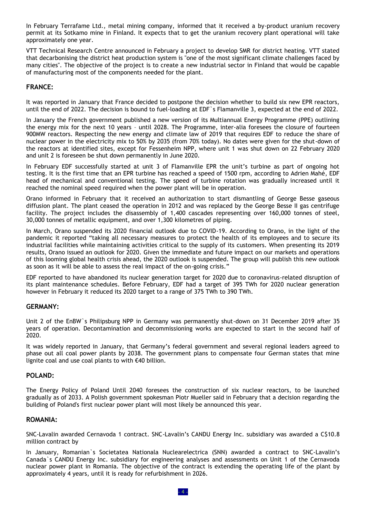In February Terrafame Ltd., metal mining company, informed that it received a by-product uranium recovery permit at its Sotkamo mine in Finland. It expects that to get the uranium recovery plant operational will take approximately one year.

VTT Technical Research Centre announced in February a project to develop SMR for district heating. VTT stated that decarbonising the district heat production system is "one of the most significant climate challenges faced by many cities". The objective of the project is to create a new industrial sector in Finland that would be capable of manufacturing most of the components needed for the plant.

### **FRANCE:**

It was reported in January that France decided to postpone the decision whether to build six new EPR reactors, until the end of 2022. The decision is bound to fuel-loading at EDF`s Flamanville 3, expected at the end of 2022.

In January the French government published a new version of its Multiannual Energy Programme (PPE) outlining the energy mix for the next 10 years – until 2028. The Programme, inter-alia foresees the closure of fourteen 900MW reactors. Respecting the new energy and climate law of 2019 that requires EDF to reduce the share of nuclear power in the electricity mix to 50% by 2035 (from 70% today). No dates were given for the shut-down of the reactors at identified sites, except for Fessenheim NPP, where unit 1 was shut down on 22 February 2020 and unit 2 is foreseen be shut down permanently in June 2020.

In February EDF successfully started at unit 3 of Flamanville EPR the unit's turbine as part of ongoing hot testing. It is the first time that an EPR turbine has reached a speed of 1500 rpm, according to Adrien Mahé, EDF head of mechanical and conventional testing. The speed of turbine rotation was gradually increased until it reached the nominal speed required when the power plant will be in operation.

Orano informed in February that it received an authorization to start dismantling of George Besse gaseous diffusion plant. The plant ceased the operation in 2012 and was replaced by the George Besse II gas centrifuge facility. The project includes the disassembly of 1,400 cascades representing over 160,000 tonnes of steel, 30,000 tonnes of metallic equipment, and over 1,300 kilometres of piping.

In March, Orano suspended its 2020 financial outlook due to COVID-19. According to Orano, in the light of the pandemic it reported "taking all necessary measures to protect the health of its employees and to secure its industrial facilities while maintaining activities critical to the supply of its customers. When presenting its 2019 results, Orano issued an outlook for 2020. Given the immediate and future impact on our markets and operations of this looming global health crisis ahead, the 2020 outlook is suspended. The group will publish this new outlook as soon as it will be able to assess the real impact of the on-going crisis."

EDF reported to have abandoned its nuclear generation target for 2020 due to coronavirus-related disruption of its plant maintenance schedules. Before February, EDF had a target of 395 TWh for 2020 nuclear generation however in February it reduced its 2020 target to a range of 375 TWh to 390 TWh.

### **GERMANY:**

Unit 2 of the EnBW`s Philipsburg NPP in Germany was permanently shut-down on 31 December 2019 after 35 years of operation. Decontamination and decommissioning works are expected to start in the second half of 2020.

It was widely reported in January, that Germany's federal government and several regional leaders agreed to phase out all coal power plants by 2038. The government plans to compensate four German states that mine lignite coal and use coal plants to with €40 billion.

### **POLAND:**

The Energy Policy of Poland Until 2040 foresees the construction of six nuclear reactors, to be launched gradually as of 2033. A Polish government spokesman Piotr Mueller said in February that a decision regarding the building of Poland's first nuclear power plant will most likely be announced this year.

### **ROMANIA:**

SNC-Lavalin awarded Cernavoda 1 contract. SNC-Lavalin's CANDU Energy Inc. subsidiary was awarded a C\$10.8 million contract by

In January, Romanian`s Societatea Nationala Nuclearelectrica (SNN) awarded a contract to SNC-Lavalin's Canada`s CANDU Energy Inc. subsidiary for engineering analyses and assessments on Unit 1 of the Cernavoda nuclear power plant in Romania. The objective of the contract is extending the operating life of the plant by approximately 4 years, until it is ready for refurbishment in 2026.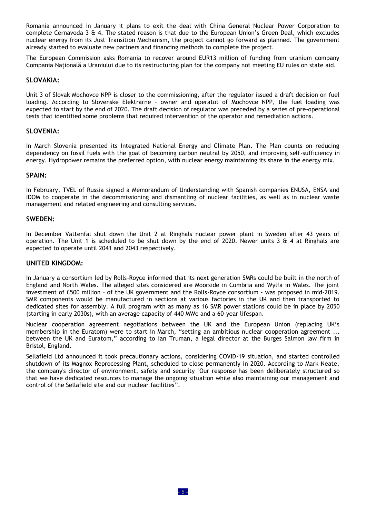Romania announced in January it plans to exit the deal with China General Nuclear Power Corporation to complete Cernavoda 3 & 4. The stated reason is that due to the European Union's Green Deal, which excludes nuclear energy from its Just Transition Mechanism, the project cannot go forward as planned. The government already started to evaluate new partners and financing methods to complete the project.

The European Commission asks Romania to recover around EUR13 million of funding from uranium company Compania Națională a Uraniului due to its restructuring plan for the company not meeting EU rules on state aid.

### **SLOVAKIA:**

Unit 3 of Slovak Mochovce NPP is closer to the commissioning, after the regulator issued a draft decision on fuel loading. According to Slovenske Elektrarne – owner and operatot of Mochovce NPP, the fuel loading was expected to start by the end of 2020. The draft decision of regulator was preceded by a series of pre-operational tests that identified some problems that required intervention of the operator and remediation actions.

### **SLOVENIA:**

In March Slovenia presented its Integrated National Energy and Climate Plan. The Plan counts on reducing dependency on fossil fuels with the goal of becoming carbon neutral by 2050, and improving self-sufficiency in energy. Hydropower remains the preferred option, with nuclear energy maintaining its share in the energy mix.

### **SPAIN:**

In February, TVEL of Russia signed a Memorandum of Understanding with Spanish companies ENUSA, ENSA and IDOM to cooperate in the decommissioning and dismantling of nuclear facilities, as well as in nuclear waste management and related engineering and consulting services.

### **SWEDEN:**

In December Vattenfal shut down the Unit 2 at Ringhals nuclear power plant in Sweden after 43 years of operation. The Unit 1 is scheduled to be shut down by the end of 2020. Newer units 3  $\&$  4 at Ringhals are expected to operate until 2041 and 2043 respectively.

### **UNITED KINGDOM:**

In January a consortium led by Rolls-Royce informed that its next generation SMRs could be built in the north of England and North Wales. The alleged sites considered are Moorside in Cumbria and Wylfa in Wales. The joint investment of £500 million – of the UK government and the Rolls-Royce consortium - was proposed in mid-2019. SMR components would be manufactured in sections at various factories in the UK and then transported to dedicated sites for assembly. A full program with as many as 16 SMR power stations could be in place by 2050 (starting in early 2030s), with an average capacity of 440 MWe and a 60-year lifespan.

Nuclear cooperation agreement negotiations between the UK and the European Union (replacing UK's membership in the Euratom) were to start in March, "setting an ambitious nuclear cooperation agreement ... between the UK and Euratom," according to Ian Truman, a legal director at the Burges Salmon law firm in Bristol, England.

Sellafield Ltd announced it took precautionary actions, considering COVID-19 situation, and started controlled shutdown of its Magnox Reprocessing Plant, scheduled to close permanently in 2020. According to Mark Neate, the company's director of environment, safety and security "Our response has been deliberately structured so that we have dedicated resources to manage the ongoing situation while also maintaining our management and control of the Sellafield site and our nuclear facilities".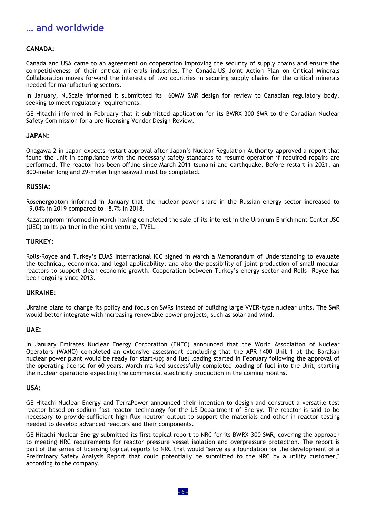### **… and worldwide**

### **CANADA:**

Canada and USA came to an agreement on cooperation improving the security of supply chains and ensure the competitiveness of their critical minerals industries. The Canada-US Joint Action Plan on Critical Minerals Collaboration moves forward the interests of two countries in securing supply chains for the critical minerals needed for manufacturing sectors.

In January, NuScale informed it submittted its 60MW SMR design for review to Canadian regulatory body, seeking to meet regulatory requirements.

GE Hitachi informed in February that it submitted application for its BWRX-300 SMR to the Canadian Nuclear Safety Commission for a pre-licensing Vendor Design Review.

### **JAPAN:**

Onagawa 2 in Japan expects restart approval after Japan's Nuclear Regulation Authority approved a report that found the unit in compliance with the necessary safety standards to resume operation if required repairs are performed. The reactor has been offline since March 2011 tsunami and earthquake. Before restart in 2021, an 800-meter long and 29-meter high seawall must be completed.

### **RUSSIA:**

Rosenergoatom informed in January that the nuclear power share in the Russian energy sector increased to 19.04% in 2019 compared to 18.7% in 2018.

Kazatomprom informed in March having completed the sale of its interest in the Uranium Enrichment Center JSC (UEC) to its partner in the joint venture, TVEL.

### **TURKEY:**

Rolls-Royce and Turkey's EUAS International ICC signed in March a Memorandum of Understanding to evaluate the technical, economical and legal applicability; and also the possibility of joint production of small modular reactors to support clean economic growth. Cooperation between Turkey's energy sector and Rolls- Royce has been ongoing since 2013.

### **UKRAINE:**

Ukraine plans to change its policy and focus on SMRs instead of building large VVER-type nuclear units. The SMR would better integrate with increasing renewable power projects, such as solar and wind.

### **UAE:**

In January Emirates Nuclear Energy Corporation (ENEC) announced that the World Association of Nuclear Operators (WANO) completed an extensive assessment concluding that the APR-1400 Unit 1 at the Barakah nuclear power plant would be ready for start-up; and fuel loading started in February following the approval of the operating license for 60 years. March marked successfully completed loading of fuel into the Unit, starting the nuclear operations expecting the commercial electricity production in the coming months.

### **USA:**

GE Hitachi Nuclear Energy and TerraPower announced their intention to design and construct a versatile test reactor based on sodium fast reactor technology for the US Department of Energy. The reactor is said to be necessary to provide sufficient high-flux neutron output to support the materials and other in-reactor testing needed to develop advanced reactors and their components.

GE Hitachi Nuclear Energy submitted its first topical report to NRC for its BWRX-300 SMR, covering the approach to meeting NRC requirements for reactor pressure vessel isolation and overpressure protection. The report is part of the series of licensing topical reports to NRC that would "serve as a foundation for the development of a Preliminary Safety Analysis Report that could potentially be submitted to the NRC by a utility customer," according to the company.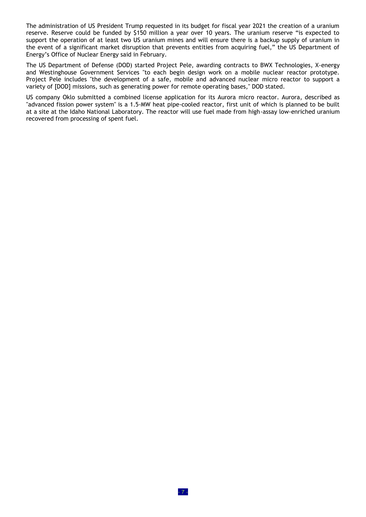The administration of US President Trump requested in its budget for fiscal year 2021 the creation of a uranium reserve. Reserve could be funded by \$150 million a year over 10 years. The uranium reserve "is expected to support the operation of at least two US uranium mines and will ensure there is a backup supply of uranium in the event of a significant market disruption that prevents entities from acquiring fuel," the US Department of Energy's Office of Nuclear Energy said in February.

The US Department of Defense (DOD) started Project Pele, awarding contracts to BWX Technologies, X-energy and Westinghouse Government Services "to each begin design work on a mobile nuclear reactor prototype. Project Pele includes "the development of a safe, mobile and advanced nuclear micro reactor to support a variety of [DOD] missions, such as generating power for remote operating bases," DOD stated.

US company Oklo submitted a combined license application for its Aurora micro reactor. Aurora, described as "advanced fission power system" is a 1.5-MW heat pipe-cooled reactor, first unit of which is planned to be built at a site at the Idaho National Laboratory. The reactor will use fuel made from high-assay low-enriched uranium recovered from processing of spent fuel.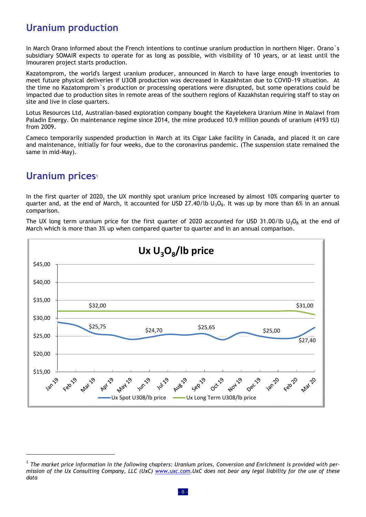### **Uranium production**

In March Orano informed about the French intentions to continue uranium production in northern Niger. Orano`s subsidiary SOMAIR expects to operate for as long as possible, with visibility of 10 years, or at least until the Imouraren project starts production.

Kazatomprom, the world's largest uranium producer, announced in March to have large enough inventories to meet future physical deliveries if U3O8 production was decreased in Kazakhstan due to COVID-19 situation. At the time no Kazatomprom`s production or processing operations were disrupted, but some operations could be impacted due to production sites in remote areas of the southern regions of Kazakhstan requiring staff to stay on site and live in close quarters.

Lotus Resources Ltd, Australian-based exploration company bought the Kayelekera Uranium Mine in Malawi from Paladin Energy. On maintenance regime since 2014, the mine produced 10.9 million pounds of uranium (4193 tU) from 2009.

Cameco temporarily suspended production in March at its Cigar Lake facility in Canada, and placed it on care and maintenance, initially for four weeks, due to the coronavirus pandemic. (The suspension state remained the same in mid-May).

### **Uranium prices**<sup>1</sup>

 $\overline{a}$ 

In the first quarter of 2020, the UX monthly spot uranium price increased by almost 10% comparing quarter to quarter and, at the end of March, it accounted for USD 27.40/lb  $U_3O_8$ . It was up by more than 6% in an annual comparison.

The UX long term uranium price for the first quarter of 2020 accounted for USD 31.00/lb  $U_3O_8$  at the end of March which is more than 3% up when compared quarter to quarter and in an annual comparison.



<sup>&</sup>lt;sup>1</sup> The market price information in the following chapters: Uranium prices, Conversion and Enrichment is provided with per*mission of the Ux Consulting Company, LLC (UxC) [www.uxc.com.](http://www.uxc.com/)UxC does not bear any legal liability for the use of these data*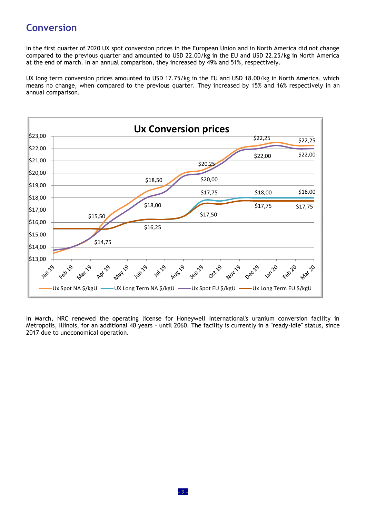# **Conversion**

In the first quarter of 2020 UX spot conversion prices in the European Union and in North America did not change compared to the previous quarter and amounted to USD 22.00/kg in the EU and USD 22.25/kg in North America at the end of march. In an annual comparison, they increased by 49% and 51%, respectively.

UX long term conversion prices amounted to USD 17.75/kg in the EU and USD 18.00/kg in North America, which means no change, when compared to the previous quarter. They increased by 15% and 16% respectively in an annual comparison.



In March, NRC renewed the operating license for Honeywell International's uranium conversion facility in Metropolis, Illinois, for an additional 40 years – until 2060. The facility is currently in a "ready-idle" status, since 2017 due to uneconomical operation.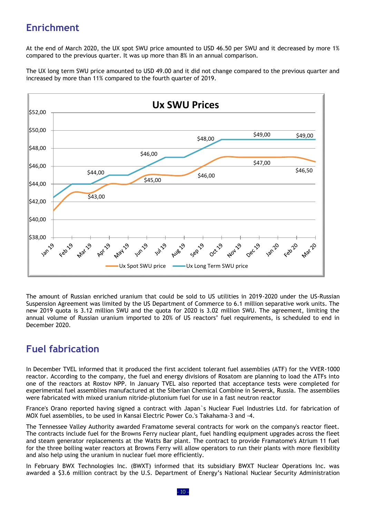# **Enrichment**

At the end of March 2020, the UX spot SWU price amounted to USD 46.50 per SWU and it decreased by more 1% compared to the previous quarter. It was up more than 8% in an annual comparison.

The UX long term SWU price amounted to USD 49.00 and it did not change compared to the previous quarter and increased by more than 11% compared to the fourth quarter of 2019.



The amount of Russian enriched uranium that could be sold to US utilities in 2019-2020 under the US-Russian Suspension Agreement was limited by the US Department of Commerce to 6.1 million separative work units. The new 2019 quota is 3.12 million SWU and the quota for 2020 is 3.02 million SWU. The agreement, limiting the annual volume of Russian uranium imported to 20% of US reactors' fuel requirements, is scheduled to end in December 2020.

# **Fuel fabrication**

In December TVEL informed that it produced the first accident tolerant fuel assemblies (ATF) for the VVER-1000 reactor. According to the company, the fuel and energy divisions of Rosatom are planning to load the ATFs into one of the reactors at Rostov NPP. In January TVEL also reported that acceptance tests were completed for experimental fuel assemblies manufactured at the Siberian Chemical Combine in Seversk, Russia. The assemblies were fabricated with mixed uranium nitride-plutonium fuel for use in a fast neutron reactor

France's Orano reported having signed a contract with Japan`s Nuclear Fuel Industries Ltd. for fabrication of MOX fuel assemblies, to be used in Kansai Electric Power Co.'s Takahama-3 and -4.

The Tennessee Valley Authority awarded Framatome several contracts for work on the company's reactor fleet. The contracts include fuel for the Browns Ferry nuclear plant, fuel handling equipment upgrades across the fleet and steam generator replacements at the Watts Bar plant. The contract to provide Framatome's Atrium 11 fuel for the three boiling water reactors at Browns Ferry will allow operators to run their plants with more flexibility and also help using the uranium in nuclear fuel more efficiently.

In February BWX Technologies Inc. (BWXT) informed that its subsidiary BWXT Nuclear Operations Inc. was awarded a \$3.6 million contract by the U.S. Department of Energy's National Nuclear Security Administration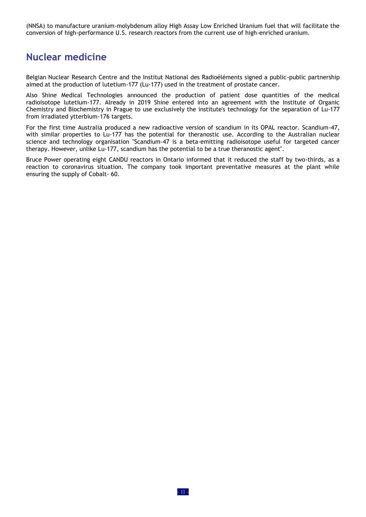(NNSA) to manufacture uranium-molybdenum alloy High Assay Low Enriched Uranium fuel that will facilitate the conversion of high-performance U.S. research reactors from the current use of high-enriched uranium.

### **Nuclear medicine**

Belgian Nuclear Research Centre and the Institut National des Radioéléments signed a public-public partnership aimed at the production of lutetium-177 (Lu-177) used in the treatment of prostate cancer.

Also Shine Medical Technologies announced the production of patient dose quantities of the medical radioisotope lutetium-177. Already in 2019 Shine entered into an agreement with the Institute of Organic Chemistry and Biochemistry in Prague to use exclusively the institute's technology for the separation of Lu-177 from irradiated ytterbium-176 targets.

For the first time Australia produced a new radioactive version of scandium in its OPAL reactor. Scandium-47, with similar properties to Lu-177 has the potential for theranostic use. According to the Australian nuclear science and technology organisation "Scandium-47 is a beta-emitting radioisotope useful for targeted cancer therapy. However, unlike Lu-177, scandium has the potential to be a true theranostic agent".

Bruce Power operating eight CANDU reactors in Ontario informed that it reduced the staff by two-thirds, as a reaction to coronavirus situation. The company took important preventative measures at the plant while ensuring the supply of Cobalt- 60.